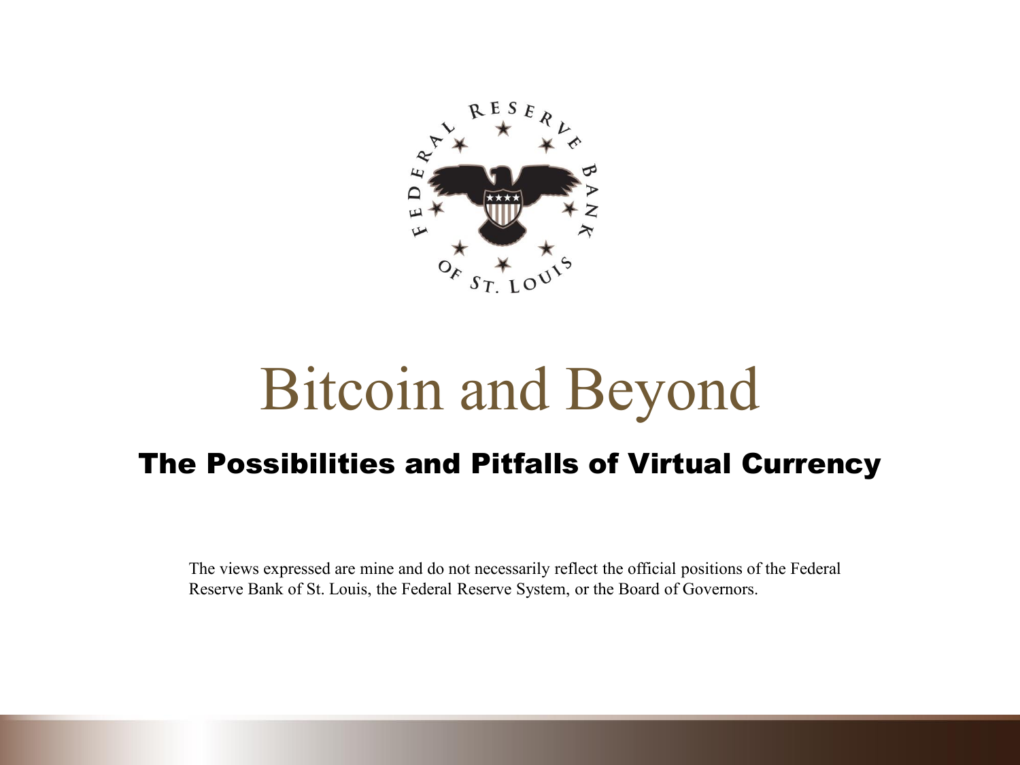

# Bitcoin and Beyond

#### The Possibilities and Pitfalls of Virtual Currency

The views expressed are mine and do not necessarily reflect the official positions of the Federal Reserve Bank of St. Louis, the Federal Reserve System, or the Board of Governors.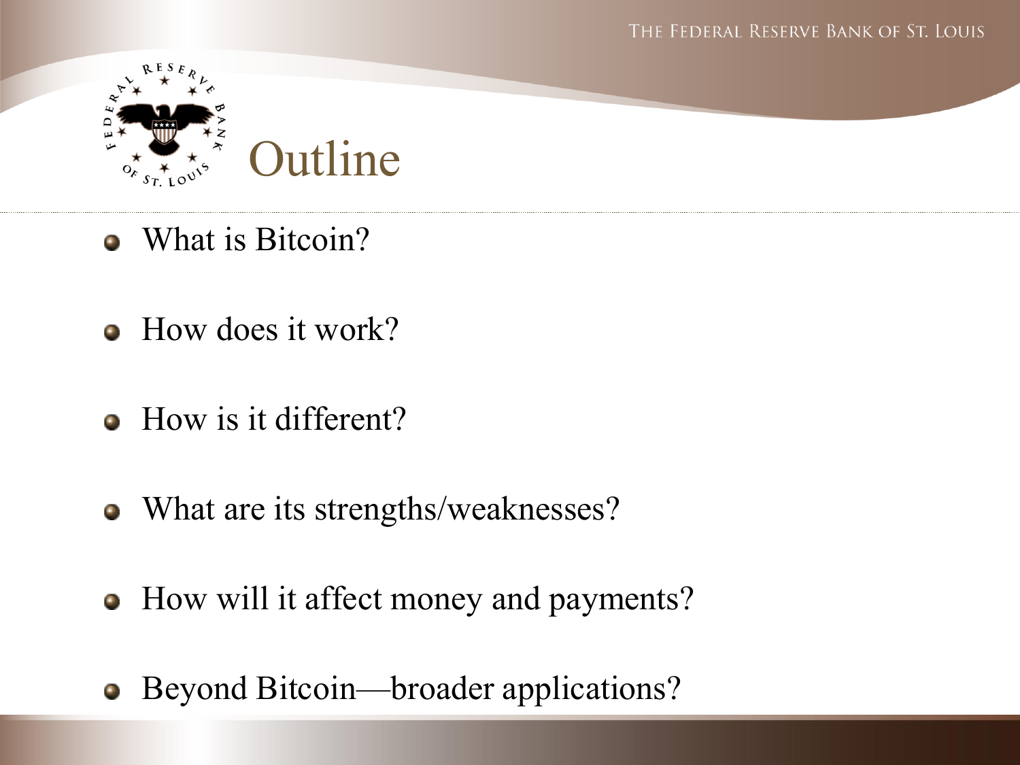

- What is Bitcoin?
- $\bullet$  How does it work?
- How is it different?
- What are its strengths/weaknesses?
- How will it affect money and payments?
- Beyond Bitcoin—broader applications?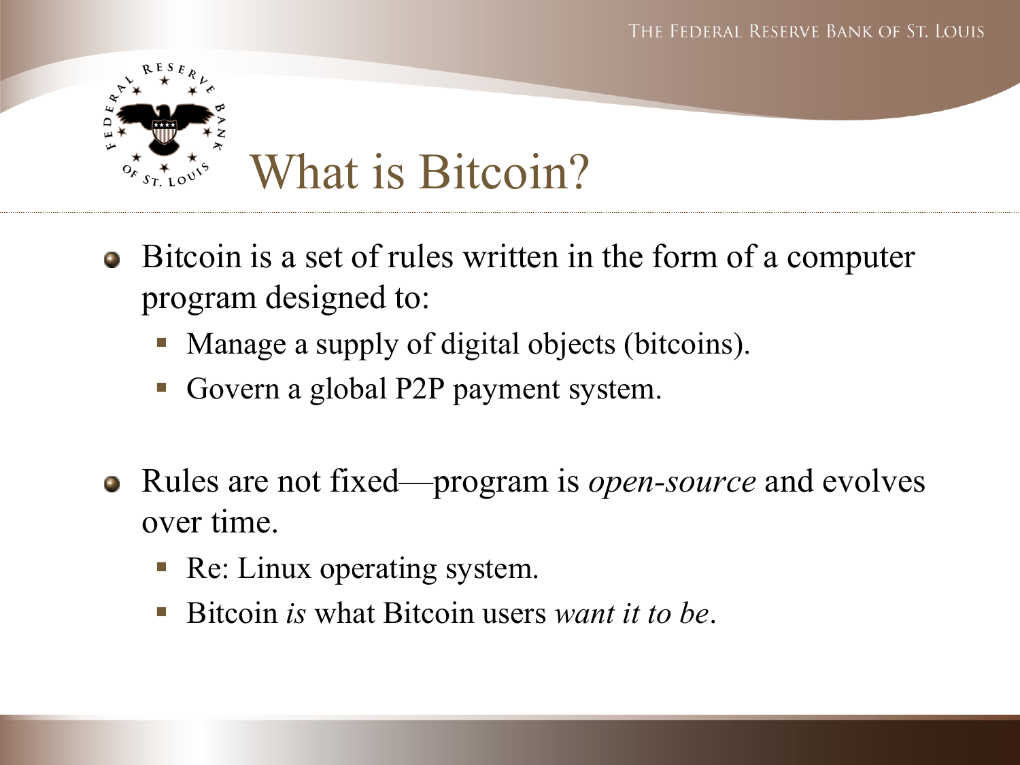

- Bitcoin is a set of rules written in the form of a computer program designed to:
	- Manage a supply of digital objects (bitcoins).
	- Govern a global P2P payment system.
- Rules are not fixed—program is *open-source* and evolves  $\bullet$ over time.
	- Re: Linux operating system.
	- Bitcoin *is* what Bitcoin users *want it to be*.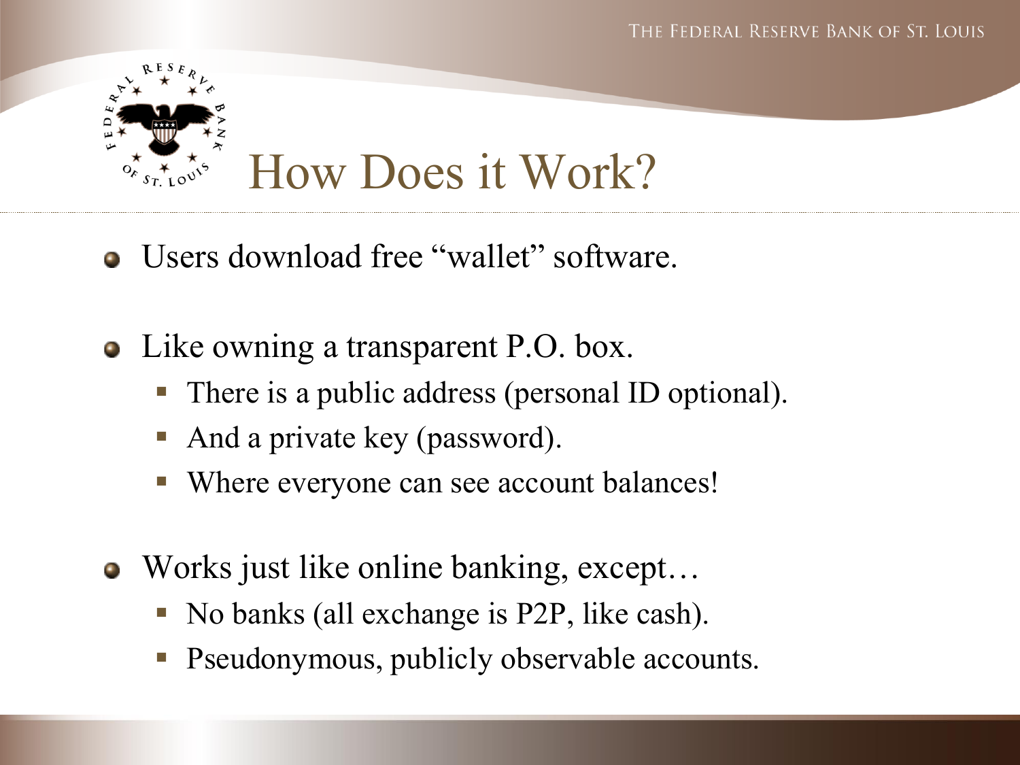

- Users download free "wallet" software.
- Like owning a transparent P.O. box.
	- There is a public address (personal ID optional).
	- And a private key (password).
	- Where everyone can see account balances!
- Works just like online banking, except...
	- No banks (all exchange is P2P, like cash).
	- Pseudonymous, publicly observable accounts.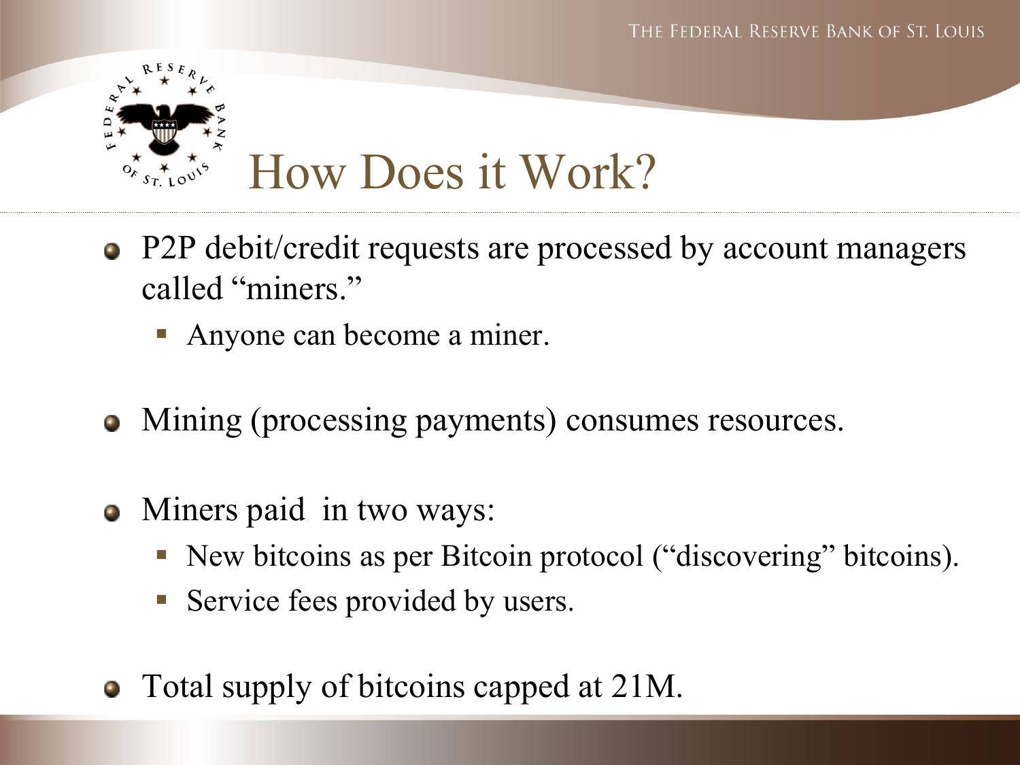

- P2P debit/credit requests are processed by account managers called "miners."
	- Anyone can become a miner.
- Mining (processing payments) consumes resources.
- Miners paid in two ways:
	- New bitcoins as per Bitcoin protocol ("discovering" bitcoins).
	- **Service fees provided by users.**
- Total supply of bitcoins capped at 21M.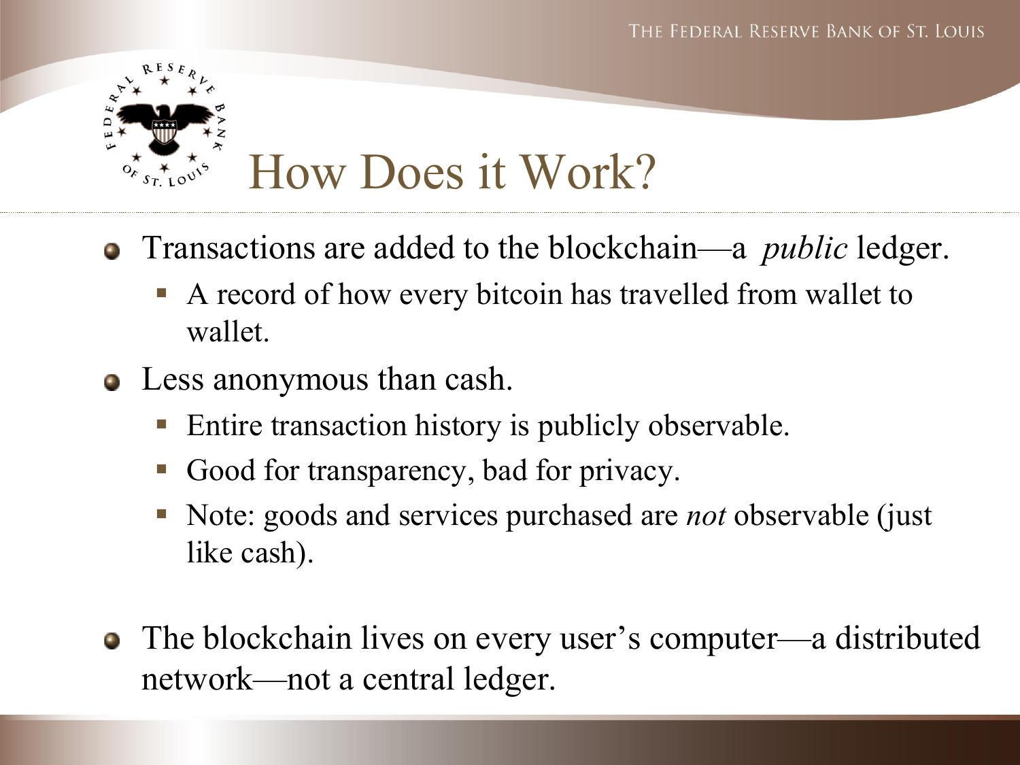

- Transactions are added to the blockchain—a *public* ledger.
	- A record of how every bitcoin has travelled from wallet to wallet.
- Less anonymous than cash.
	- **Entire transaction history is publicly observable.**
	- Good for transparency, bad for privacy.
	- Note: goods and services purchased are *not* observable (just like cash).
- The blockchain lives on every user's computer—a distributed network—not a central ledger.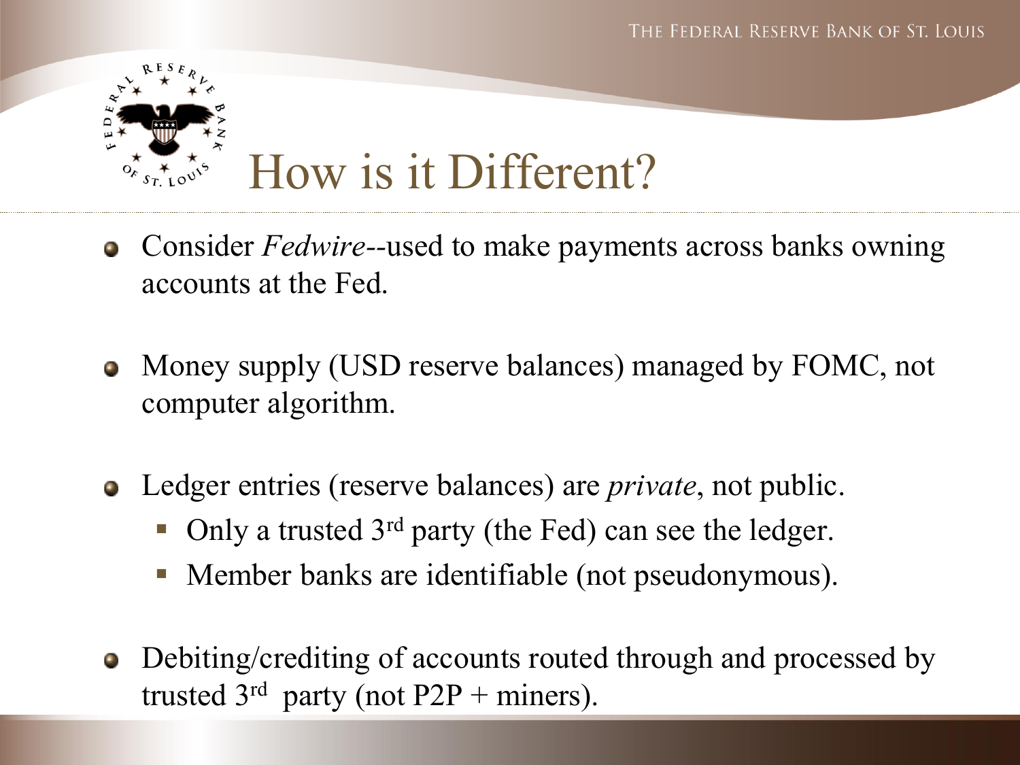

- Consider *Fedwire--*used to make payments across banks owning  $\bullet$ accounts at the Fed.
- Money supply (USD reserve balances) managed by FOMC, not  $\bullet$ computer algorithm.
- Ledger entries (reserve balances) are *private*, not public.
	- Only a trusted 3<sup>rd</sup> party (the Fed) can see the ledger.
	- Member banks are identifiable (not pseudonymous).
- Debiting/crediting of accounts routed through and processed by  $\bullet$ trusted  $3<sup>rd</sup>$  party (not P2P + miners).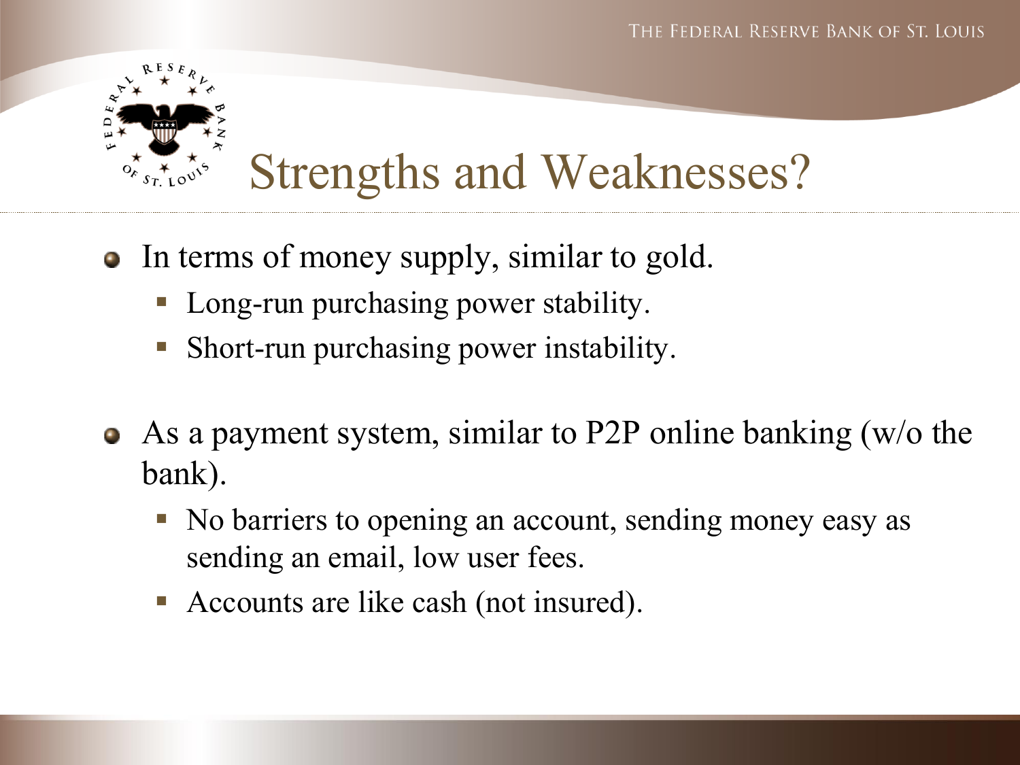

- In terms of money supply, similar to gold.
	- Long-run purchasing power stability.
	- Short-run purchasing power instability.
- As a payment system, similar to P2P online banking (w/o the  $\bullet$ bank).
	- No barriers to opening an account, sending money easy as sending an email, low user fees.
	- Accounts are like cash (not insured).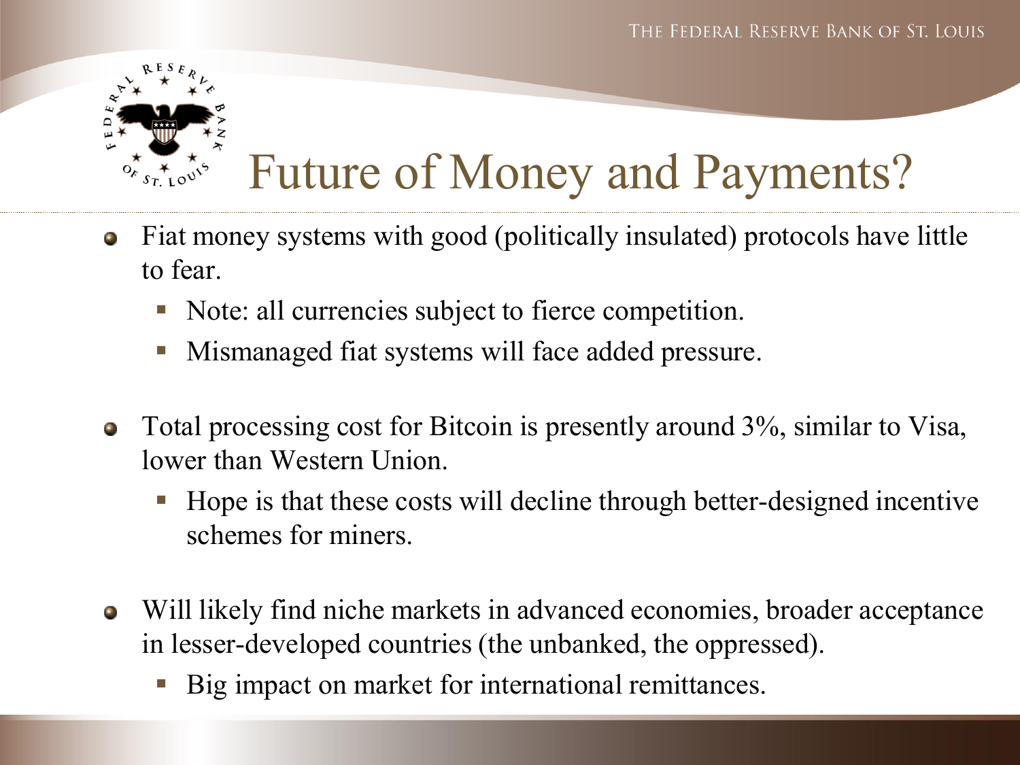

## Future of Money and Payments?

- Fiat money systems with good (politically insulated) protocols have little  $\bullet$ to fear.
	- Note: all currencies subject to fierce competition.
	- **Mismanaged fiat systems will face added pressure.**
- Total processing cost for Bitcoin is presently around 3%, similar to Visa,  $\bullet$ lower than Western Union.
	- Hope is that these costs will decline through better-designed incentive schemes for miners.
- Will likely find niche markets in advanced economies, broader acceptance  $\bullet$ in lesser-developed countries (the unbanked, the oppressed).
	- Big impact on market for international remittances.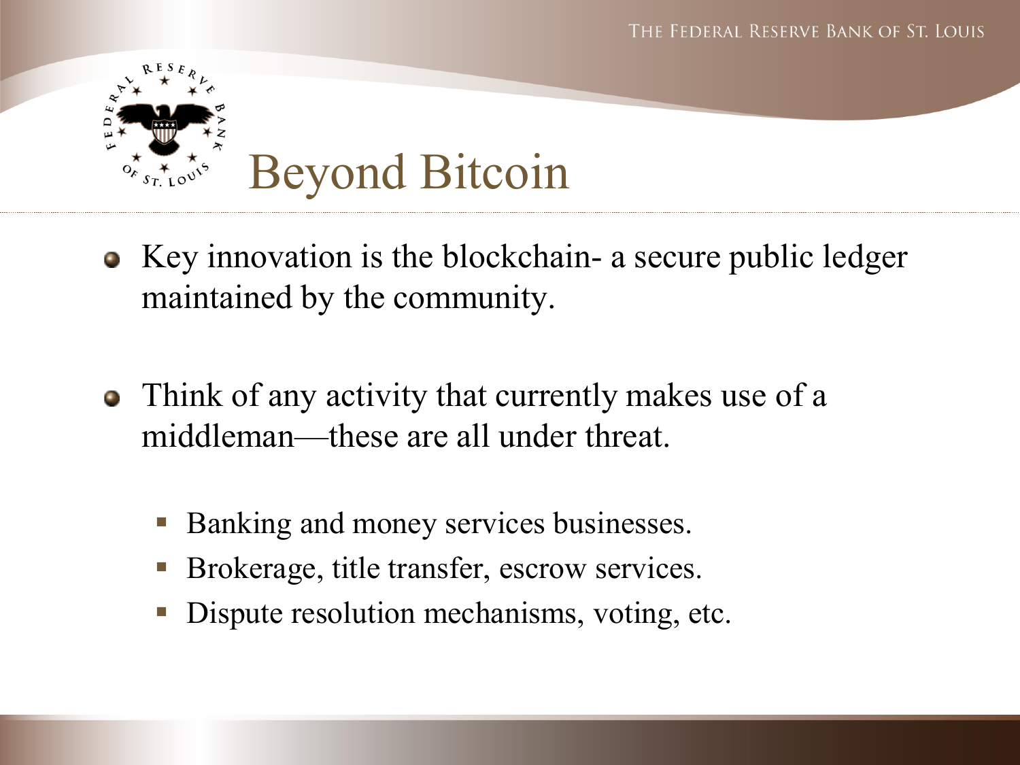

- Key innovation is the blockchain- a secure public ledger maintained by the community.
- Think of any activity that currently makes use of a middleman—these are all under threat.
	- Banking and money services businesses.
	- Brokerage, title transfer, escrow services.
	- Dispute resolution mechanisms, voting, etc.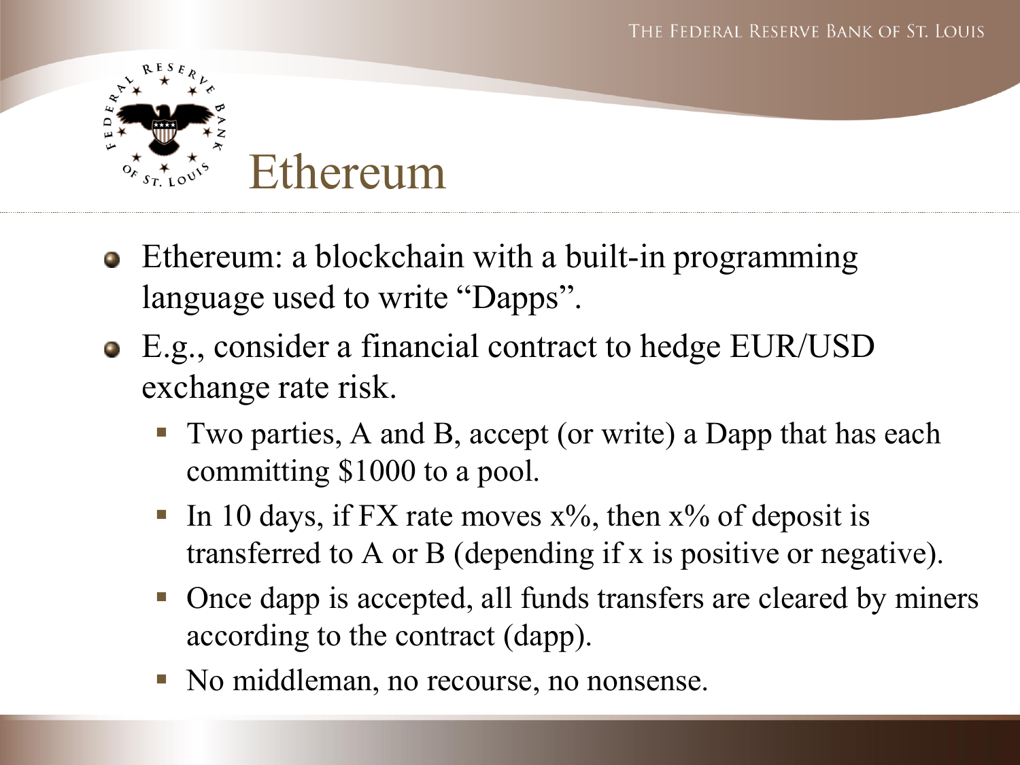

- Ethereum: a blockchain with a built-in programming language used to write "Dapps".
- E.g., consider a financial contract to hedge EUR/USD exchange rate risk.
	- Two parties, A and B, accept (or write) a Dapp that has each committing \$1000 to a pool.
	- In 10 days, if FX rate moves  $x\%$ , then  $x\%$  of deposit is transferred to A or B (depending if x is positive or negative).
	- Once dapp is accepted, all funds transfers are cleared by miners according to the contract (dapp).
	- No middleman, no recourse, no nonsense.